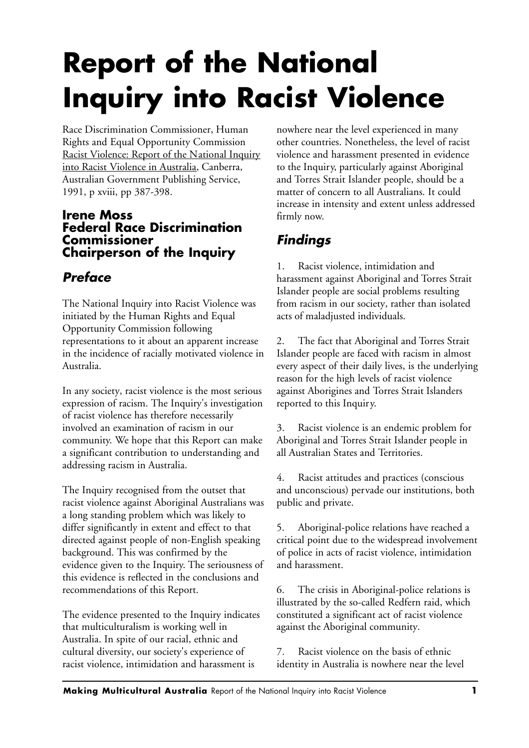# **Report of the National Inquiry into Racist Violence**

Race Discrimination Commissioner, Human Rights and Equal Opportunity Commission Racist Violence: Report of the National Inquiry into Racist Violence in Australia, Canberra, Australian Government Publishing Service, 1991, p xviii, pp 387-398.

#### **Irene Moss Federal Race Discrimination Commissioner Chairperson of the Inquiry**

### *Preface*

The National Inquiry into Racist Violence was initiated by the Human Rights and Equal Opportunity Commission following representations to it about an apparent increase in the incidence of racially motivated violence in Australia.

In any society, racist violence is the most serious expression of racism. The Inquiry's investigation of racist violence has therefore necessarily involved an examination of racism in our community. We hope that this Report can make a significant contribution to understanding and addressing racism in Australia.

The Inquiry recognised from the outset that racist violence against Aboriginal Australians was a long standing problem which was likely to differ significantly in extent and effect to that directed against people of non-English speaking background. This was confirmed by the evidence given to the Inquiry. The seriousness of this evidence is reflected in the conclusions and recommendations of this Report.

The evidence presented to the Inquiry indicates that multiculturalism is working well in Australia. In spite of our racial, ethnic and cultural diversity, our society's experience of racist violence, intimidation and harassment is

nowhere near the level experienced in many other countries. Nonetheless, the level of racist violence and harassment presented in evidence to the Inquiry, particularly against Aboriginal and Torres Strait Islander people, should be a matter of concern to all Australians. It could increase in intensity and extent unless addressed firmly now.

## *Findings*

1. Racist violence, intimidation and harassment against Aboriginal and Torres Strait Islander people are social problems resulting from racism in our society, rather than isolated acts of maladjusted individuals.

2. The fact that Aboriginal and Torres Strait Islander people are faced with racism in almost every aspect of their daily lives, is the underlying reason for the high levels of racist violence against Aborigines and Torres Strait Islanders reported to this Inquiry.

3. Racist violence is an endemic problem for Aboriginal and Torres Strait Islander people in all Australian States and Territories.

4. Racist attitudes and practices (conscious and unconscious) pervade our institutions, both public and private.

5. Aboriginal-police relations have reached a critical point due to the widespread involvement of police in acts of racist violence, intimidation and harassment.

6. The crisis in Aboriginal-police relations is illustrated by the so-called Redfern raid, which constituted a significant act of racist violence against the Aboriginal community.

7. Racist violence on the basis of ethnic identity in Australia is nowhere near the level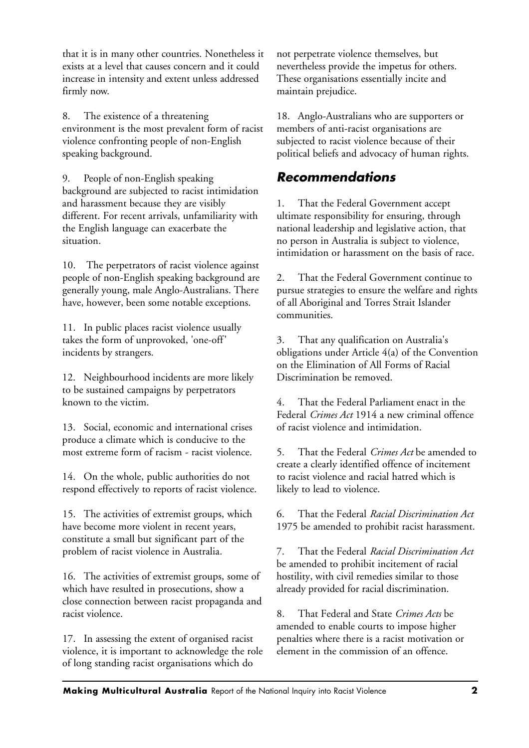that it is in many other countries. Nonetheless it exists at a level that causes concern and it could increase in intensity and extent unless addressed firmly now.

8. The existence of a threatening environment is the most prevalent form of racist violence confronting people of non-English speaking background.

People of non-English speaking background are subjected to racist intimidation and harassment because they are visibly different. For recent arrivals, unfamiliarity with the English language can exacerbate the situation.

10. The perpetrators of racist violence against people of non-English speaking background are generally young, male Anglo-Australians. There have, however, been some notable exceptions.

11. In public places racist violence usually takes the form of unprovoked, 'one-off' incidents by strangers.

12. Neighbourhood incidents are more likely to be sustained campaigns by perpetrators known to the victim.

13. Social, economic and international crises produce a climate which is conducive to the most extreme form of racism - racist violence.

14. On the whole, public authorities do not respond effectively to reports of racist violence.

15. The activities of extremist groups, which have become more violent in recent years, constitute a small but significant part of the problem of racist violence in Australia.

16. The activities of extremist groups, some of which have resulted in prosecutions, show a close connection between racist propaganda and racist violence.

17. In assessing the extent of organised racist violence, it is important to acknowledge the role of long standing racist organisations which do

not perpetrate violence themselves, but nevertheless provide the impetus for others. These organisations essentially incite and maintain prejudice.

18. Anglo-Australians who are supporters or members of anti-racist organisations are subjected to racist violence because of their political beliefs and advocacy of human rights.

#### *Recommendations*

1. That the Federal Government accept ultimate responsibility for ensuring, through national leadership and legislative action, that no person in Australia is subject to violence, intimidation or harassment on the basis of race.

2. That the Federal Government continue to pursue strategies to ensure the welfare and rights of all Aboriginal and Torres Strait Islander communities.

3. That any qualification on Australia's obligations under Article 4(a) of the Convention on the Elimination of All Forms of Racial Discrimination be removed.

4. That the Federal Parliament enact in the Federal *Crimes Act* 1914 a new criminal offence of racist violence and intimidation.

5. That the Federal *Crimes Act* be amended to create a clearly identified offence of incitement to racist violence and racial hatred which is likely to lead to violence.

6. That the Federal *Racial Discrimination Act* 1975 be amended to prohibit racist harassment.

7. That the Federal *Racial Discrimination Act* be amended to prohibit incitement of racial hostility, with civil remedies similar to those already provided for racial discrimination.

8. That Federal and State *Crimes Acts* be amended to enable courts to impose higher penalties where there is a racist motivation or element in the commission of an offence.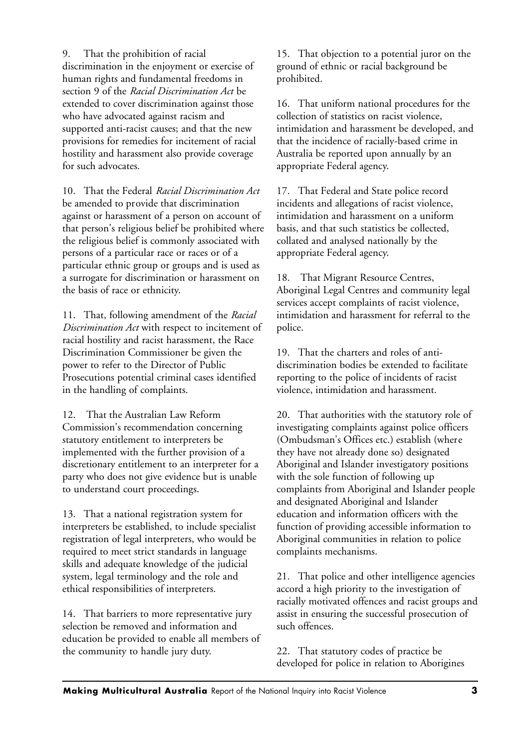9. That the prohibition of racial discrimination in the enjoyment or exercise of human rights and fundamental freedoms in section 9 of the *Racial Discrimination Act* be extended to cover discrimination against those who have advocated against racism and supported anti-racist causes; and that the new provisions for remedies for incitement of racial hostility and harassment also provide coverage for such advocates.

10. That the Federal *Racial Discrimination Act* be amended to provide that discrimination against or harassment of a person on account of that person's religious belief be prohibited where the religious belief is commonly associated with persons of a particular race or races or of a particular ethnic group or groups and is used as a surrogate for discrimination or harassment on the basis of race or ethnicity.

11. That, following amendment of the *Racial Discrimination Act* with respect to incitement of racial hostility and racist harassment, the Race Discrimination Commissioner be given the power to refer to the Director of Public Prosecutions potential criminal cases identified in the handling of complaints.

12. That the Australian Law Reform Commission's recommendation concerning statutory entitlement to interpreters be implemented with the further provision of a discretionary entitlement to an interpreter for a party who does not give evidence but is unable to understand court proceedings.

13. That a national registration system for interpreters be established, to include specialist registration of legal interpreters, who would be required to meet strict standards in language skills and adequate knowledge of the judicial system, legal terminology and the role and ethical responsibilities of interpreters.

14. That barriers to more representative jury selection be removed and information and education be provided to enable all members of the community to handle jury duty.

15. That objection to a potential juror on the ground of ethnic or racial background be prohibited.

16. That uniform national procedures for the collection of statistics on racist violence, intimidation and harassment be developed, and that the incidence of racially-based crime in Australia be reported upon annually by an appropriate Federal agency.

17. That Federal and State police record incidents and allegations of racist violence, intimidation and harassment on a uniform basis, and that such statistics be collected, collated and analysed nationally by the appropriate Federal agency.

18. That Migrant Resource Centres, Aboriginal Legal Centres and community legal services accept complaints of racist violence, intimidation and harassment for referral to the police.

19. That the charters and roles of antidiscrimination bodies be extended to facilitate reporting to the police of incidents of racist violence, intimidation and harassment.

20. That authorities with the statutory role of investigating complaints against police officers (Ombudsman's Offices etc.) establish (where they have not already done so) designated Aboriginal and Islander investigatory positions with the sole function of following up complaints from Aboriginal and Islander people and designated Aboriginal and Islander education and information officers with the function of providing accessible information to Aboriginal communities in relation to police complaints mechanisms.

21. That police and other intelligence agencies accord a high priority to the investigation of racially motivated offences and racist groups and assist in ensuring the successful prosecution of such offences.

22. That statutory codes of practice be developed for police in relation to Aborigines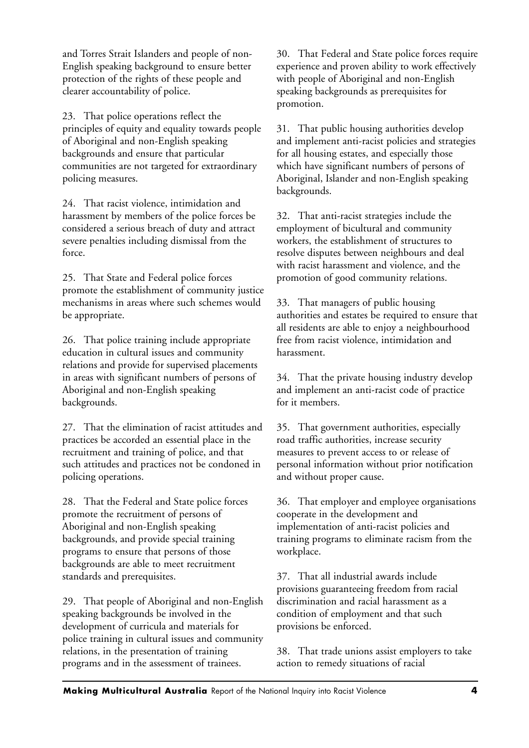and Torres Strait Islanders and people of non-English speaking background to ensure better protection of the rights of these people and clearer accountability of police.

23. That police operations reflect the principles of equity and equality towards people of Aboriginal and non-English speaking backgrounds and ensure that particular communities are not targeted for extraordinary policing measures.

24. That racist violence, intimidation and harassment by members of the police forces be considered a serious breach of duty and attract severe penalties including dismissal from the force.

25. That State and Federal police forces promote the establishment of community justice mechanisms in areas where such schemes would be appropriate.

26. That police training include appropriate education in cultural issues and community relations and provide for supervised placements in areas with significant numbers of persons of Aboriginal and non-English speaking backgrounds.

27. That the elimination of racist attitudes and practices be accorded an essential place in the recruitment and training of police, and that such attitudes and practices not be condoned in policing operations.

28. That the Federal and State police forces promote the recruitment of persons of Aboriginal and non-English speaking backgrounds, and provide special training programs to ensure that persons of those backgrounds are able to meet recruitment standards and prerequisites.

29. That people of Aboriginal and non-English speaking backgrounds be involved in the development of curricula and materials for police training in cultural issues and community relations, in the presentation of training programs and in the assessment of trainees.

30. That Federal and State police forces require experience and proven ability to work effectively with people of Aboriginal and non-English speaking backgrounds as prerequisites for promotion.

31. That public housing authorities develop and implement anti-racist policies and strategies for all housing estates, and especially those which have significant numbers of persons of Aboriginal, Islander and non-English speaking backgrounds.

32. That anti-racist strategies include the employment of bicultural and community workers, the establishment of structures to resolve disputes between neighbours and deal with racist harassment and violence, and the promotion of good community relations.

33. That managers of public housing authorities and estates be required to ensure that all residents are able to enjoy a neighbourhood free from racist violence, intimidation and harassment.

34. That the private housing industry develop and implement an anti-racist code of practice for it members.

35. That government authorities, especially road traffic authorities, increase security measures to prevent access to or release of personal information without prior notification and without proper cause.

36. That employer and employee organisations cooperate in the development and implementation of anti-racist policies and training programs to eliminate racism from the workplace.

37. That all industrial awards include provisions guaranteeing freedom from racial discrimination and racial harassment as a condition of employment and that such provisions be enforced.

38. That trade unions assist employers to take action to remedy situations of racial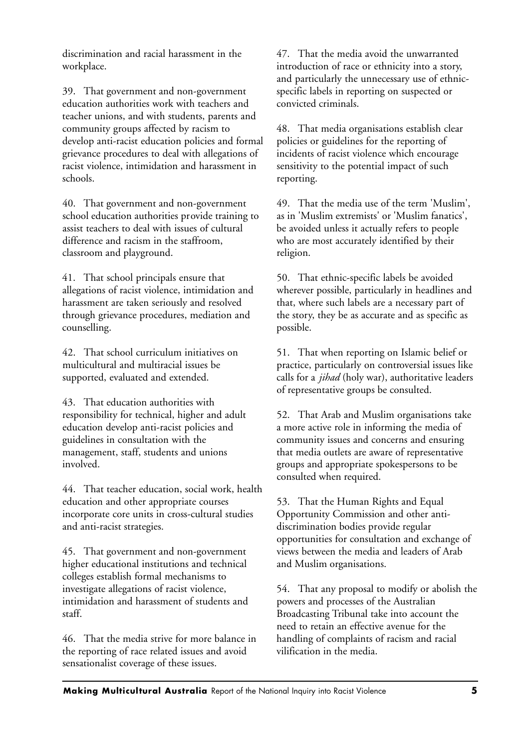discrimination and racial harassment in the workplace.

39. That government and non-government education authorities work with teachers and teacher unions, and with students, parents and community groups affected by racism to develop anti-racist education policies and formal grievance procedures to deal with allegations of racist violence, intimidation and harassment in schools.

40. That government and non-government school education authorities provide training to assist teachers to deal with issues of cultural difference and racism in the staffroom, classroom and playground.

41. That school principals ensure that allegations of racist violence, intimidation and harassment are taken seriously and resolved through grievance procedures, mediation and counselling.

42. That school curriculum initiatives on multicultural and multiracial issues be supported, evaluated and extended.

43. That education authorities with responsibility for technical, higher and adult education develop anti-racist policies and guidelines in consultation with the management, staff, students and unions involved.

44. That teacher education, social work, health education and other appropriate courses incorporate core units in cross-cultural studies and anti-racist strategies.

45. That government and non-government higher educational institutions and technical colleges establish formal mechanisms to investigate allegations of racist violence, intimidation and harassment of students and staff.

46. That the media strive for more balance in the reporting of race related issues and avoid sensationalist coverage of these issues.

47. That the media avoid the unwarranted introduction of race or ethnicity into a story, and particularly the unnecessary use of ethnicspecific labels in reporting on suspected or convicted criminals.

48. That media organisations establish clear policies or guidelines for the reporting of incidents of racist violence which encourage sensitivity to the potential impact of such reporting.

49. That the media use of the term 'Muslim', as in 'Muslim extremists' or 'Muslim fanatics', be avoided unless it actually refers to people who are most accurately identified by their religion.

50. That ethnic-specific labels be avoided wherever possible, particularly in headlines and that, where such labels are a necessary part of the story, they be as accurate and as specific as possible.

51. That when reporting on Islamic belief or practice, particularly on controversial issues like calls for a *jihad* (holy war), authoritative leaders of representative groups be consulted.

52. That Arab and Muslim organisations take a more active role in informing the media of community issues and concerns and ensuring that media outlets are aware of representative groups and appropriate spokespersons to be consulted when required.

53. That the Human Rights and Equal Opportunity Commission and other antidiscrimination bodies provide regular opportunities for consultation and exchange of views between the media and leaders of Arab and Muslim organisations.

54. That any proposal to modify or abolish the powers and processes of the Australian Broadcasting Tribunal take into account the need to retain an effective avenue for the handling of complaints of racism and racial vilification in the media.